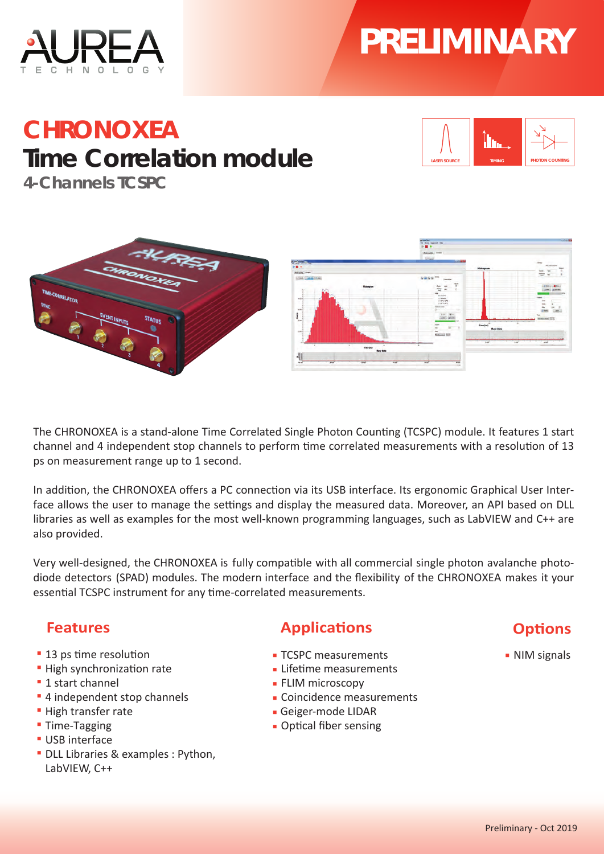# **PRELIMINARY**



## **CHRONOXEA Time Correlation module**



**4-Channels TCSPC**



The CHRONOXEA is a stand-alone Time Correlated Single Photon Counting (TCSPC) module. It features 1 start channel and 4 independent stop channels to perform time correlated measurements with a resolution of 13 ps on measurement range up to 1 second.

In addition, the CHRONOXEA offers a PC connection via its USB interface. Its ergonomic Graphical User Interface allows the user to manage the settings and display the measured data. Moreover, an API based on DLL libraries as well as examples for the most well-known programming languages, such as LabVIEW and C++ are also provided.

Very well-designed, the CHRONOXEA is fully compatible with all commercial single photon avalanche photodiode detectors (SPAD) modules. The modern interface and the flexibility of the CHRONOXEA makes it your essential TCSPC instrument for any time-correlated measurements.

#### **Features**

- **13 ps time resolution**
- **EXPLO High synchronization rate**
- **▪** 1 start channel
- **▪** 4 independent stop channels
- **▪** High transfer rate
- **▪** Time-Tagging
- **▪** USB interface
- **▪** DLL Libraries & examples : Python, LabVIEW, C++

#### **Applications**

- **▪** TCSPC measurements
- **EXALLER Lifetime measurements**
- **▪** FLIM microscopy
- **▪** Coincidence measurements
- **▪** Geiger-mode LIDAR
- **Optical fiber sensing**

### **Options**

**▪** NIM signals